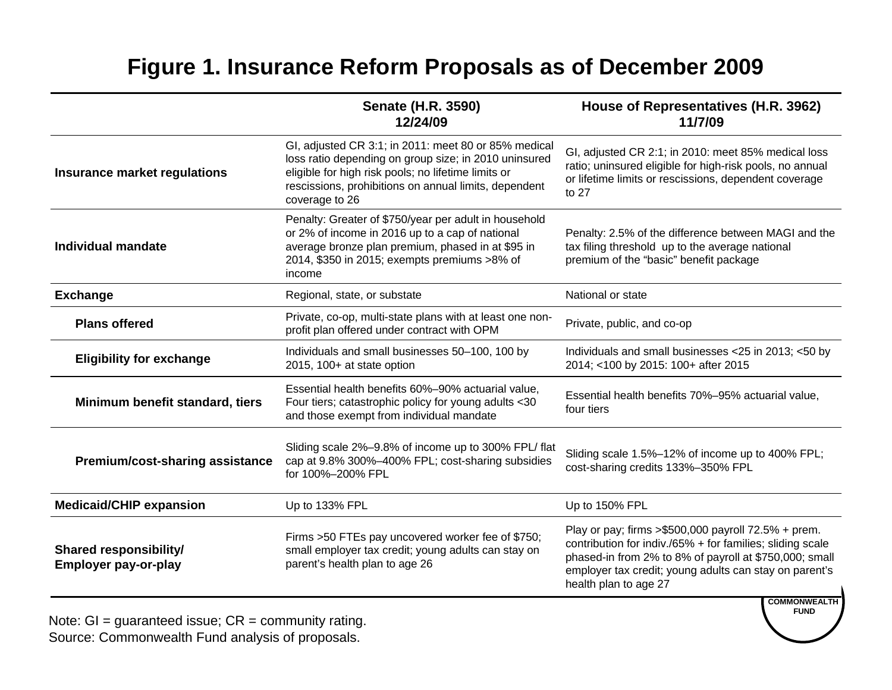## **Figure 1. Insurance Reform Proposals as of December 2009**

|                                                                                                                                                                                                                                                      | <b>Senate (H.R. 3590)</b><br>12/24/09                                                                                                                                                                                                           | House of Representatives (H.R. 3962)<br>11/7/09                                                                                                                                                                                                                                        |  |
|------------------------------------------------------------------------------------------------------------------------------------------------------------------------------------------------------------------------------------------------------|-------------------------------------------------------------------------------------------------------------------------------------------------------------------------------------------------------------------------------------------------|----------------------------------------------------------------------------------------------------------------------------------------------------------------------------------------------------------------------------------------------------------------------------------------|--|
| Insurance market regulations                                                                                                                                                                                                                         | GI, adjusted CR 3:1; in 2011: meet 80 or 85% medical<br>loss ratio depending on group size; in 2010 uninsured<br>eligible for high risk pools; no lifetime limits or<br>rescissions, prohibitions on annual limits, dependent<br>coverage to 26 | GI, adjusted CR 2:1; in 2010: meet 85% medical loss<br>ratio; uninsured eligible for high-risk pools, no annual<br>or lifetime limits or rescissions, dependent coverage<br>to 27                                                                                                      |  |
| Penalty: Greater of \$750/year per adult in household<br>or 2% of income in 2016 up to a cap of national<br>average bronze plan premium, phased in at \$95 in<br><b>Individual mandate</b><br>2014, \$350 in 2015; exempts premiums >8% of<br>income |                                                                                                                                                                                                                                                 | Penalty: 2.5% of the difference between MAGI and the<br>tax filing threshold up to the average national<br>premium of the "basic" benefit package                                                                                                                                      |  |
| <b>Exchange</b>                                                                                                                                                                                                                                      | Regional, state, or substate                                                                                                                                                                                                                    | National or state                                                                                                                                                                                                                                                                      |  |
| <b>Plans offered</b>                                                                                                                                                                                                                                 | Private, co-op, multi-state plans with at least one non-<br>profit plan offered under contract with OPM                                                                                                                                         | Private, public, and co-op                                                                                                                                                                                                                                                             |  |
| <b>Eligibility for exchange</b>                                                                                                                                                                                                                      | Individuals and small businesses 50-100, 100 by<br>2015, 100+ at state option                                                                                                                                                                   | Individuals and small businesses <25 in 2013; <50 by<br>2014; <100 by 2015: 100+ after 2015                                                                                                                                                                                            |  |
| Minimum benefit standard, tiers                                                                                                                                                                                                                      | Essential health benefits 60%-90% actuarial value,<br>Four tiers; catastrophic policy for young adults <30<br>and those exempt from individual mandate                                                                                          | Essential health benefits 70%-95% actuarial value,<br>four tiers                                                                                                                                                                                                                       |  |
| Sliding scale 2%-9.8% of income up to 300% FPL/ flat<br>cap at 9.8% 300%-400% FPL; cost-sharing subsidies<br>Premium/cost-sharing assistance<br>for 100%-200% FPL                                                                                    |                                                                                                                                                                                                                                                 | Sliding scale 1.5%-12% of income up to 400% FPL;<br>cost-sharing credits 133%-350% FPL                                                                                                                                                                                                 |  |
| <b>Medicaid/CHIP expansion</b>                                                                                                                                                                                                                       | Up to 133% FPL                                                                                                                                                                                                                                  | Up to 150% FPL                                                                                                                                                                                                                                                                         |  |
| <b>Shared responsibility/</b><br><b>Employer pay-or-play</b>                                                                                                                                                                                         | Firms >50 FTEs pay uncovered worker fee of \$750;<br>small employer tax credit; young adults can stay on<br>parent's health plan to age 26                                                                                                      | Play or pay; firms $>\$500,000$ payroll 72.5% + prem.<br>contribution for indiv./65% + for families; sliding scale<br>phased-in from 2% to 8% of payroll at \$750,000; small<br>employer tax credit; young adults can stay on parent's<br>health plan to age 27<br><b>COMMONWEALTH</b> |  |

**FUND**

Note:  $GI =$  guaranteed issue;  $CR =$  community rating. Source: Commonwealth Fund analysis of proposals.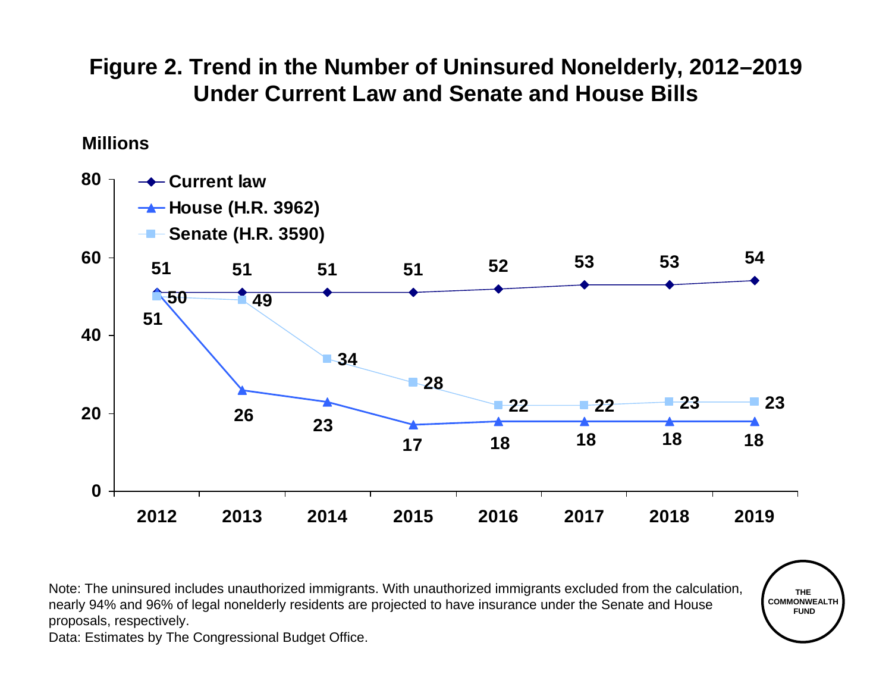## **Figure 2. Trend in the Number of Uninsured Nonelderly, 2012–2019 Under Current Law and Senate and House Bills**

### **Millions**



Note: The uninsured includes unauthorized immigrants. With unauthorized immigrants excluded from the calculation, nearly 94% and 96% of legal nonelderly residents are projected to have insurance under the Senate and House proposals, respectively.

**THE COMMONWEALTHFUND**

Data: Estimates by The Congressional Budget Office.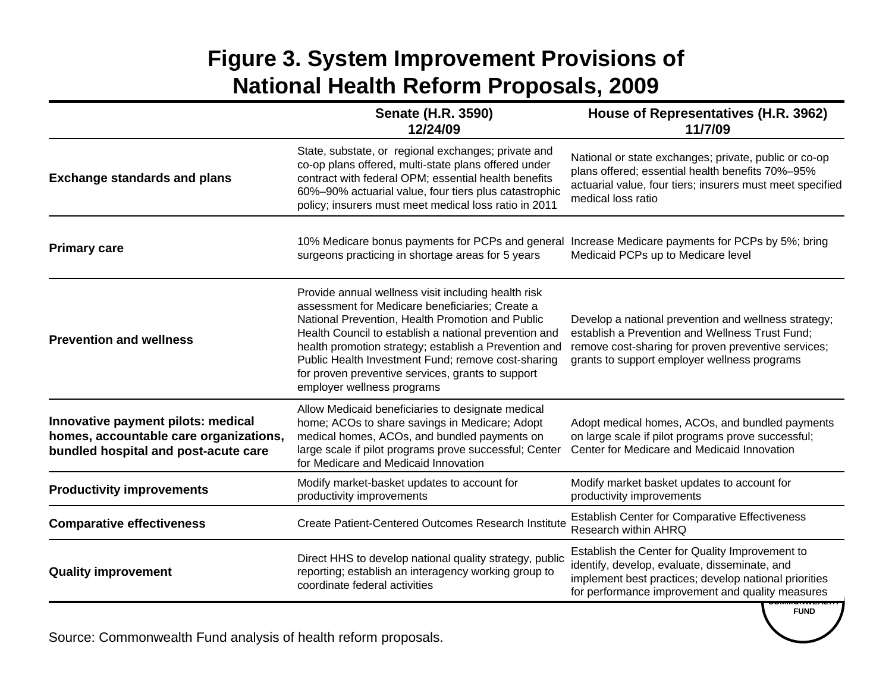# **Figure 3. System Improvement Provisions of National Health Reform Proposals, 2009**

|                                                                                                                      | <b>Senate (H.R. 3590)</b><br>12/24/09                                                                                                                                                                                                                                                                                                                                                                                 | House of Representatives (H.R. 3962)<br>11/7/09                                                                                                                                                                |
|----------------------------------------------------------------------------------------------------------------------|-----------------------------------------------------------------------------------------------------------------------------------------------------------------------------------------------------------------------------------------------------------------------------------------------------------------------------------------------------------------------------------------------------------------------|----------------------------------------------------------------------------------------------------------------------------------------------------------------------------------------------------------------|
| <b>Exchange standards and plans</b>                                                                                  | State, substate, or regional exchanges; private and<br>co-op plans offered, multi-state plans offered under<br>contract with federal OPM; essential health benefits<br>60%-90% actuarial value, four tiers plus catastrophic<br>policy; insurers must meet medical loss ratio in 2011                                                                                                                                 | National or state exchanges; private, public or co-op<br>plans offered; essential health benefits 70%-95%<br>actuarial value, four tiers; insurers must meet specified<br>medical loss ratio                   |
| <b>Primary care</b>                                                                                                  | 10% Medicare bonus payments for PCPs and general Increase Medicare payments for PCPs by 5%; bring<br>surgeons practicing in shortage areas for 5 years                                                                                                                                                                                                                                                                | Medicaid PCPs up to Medicare level                                                                                                                                                                             |
| <b>Prevention and wellness</b>                                                                                       | Provide annual wellness visit including health risk<br>assessment for Medicare beneficiaries; Create a<br>National Prevention, Health Promotion and Public<br>Health Council to establish a national prevention and<br>health promotion strategy; establish a Prevention and<br>Public Health Investment Fund; remove cost-sharing<br>for proven preventive services, grants to support<br>employer wellness programs | Develop a national prevention and wellness strategy;<br>establish a Prevention and Wellness Trust Fund;<br>remove cost-sharing for proven preventive services;<br>grants to support employer wellness programs |
| Innovative payment pilots: medical<br>homes, accountable care organizations,<br>bundled hospital and post-acute care | Allow Medicaid beneficiaries to designate medical<br>home; ACOs to share savings in Medicare; Adopt<br>medical homes, ACOs, and bundled payments on<br>large scale if pilot programs prove successful; Center<br>for Medicare and Medicaid Innovation                                                                                                                                                                 | Adopt medical homes, ACOs, and bundled payments<br>on large scale if pilot programs prove successful;<br>Center for Medicare and Medicaid Innovation                                                           |
| <b>Productivity improvements</b>                                                                                     | Modify market-basket updates to account for<br>productivity improvements                                                                                                                                                                                                                                                                                                                                              | Modify market basket updates to account for<br>productivity improvements                                                                                                                                       |
| <b>Comparative effectiveness</b>                                                                                     | <b>Create Patient-Centered Outcomes Research Institute</b>                                                                                                                                                                                                                                                                                                                                                            | <b>Establish Center for Comparative Effectiveness</b><br>Research within AHRQ                                                                                                                                  |
| <b>Quality improvement</b>                                                                                           | Direct HHS to develop national quality strategy, public<br>reporting; establish an interagency working group to<br>coordinate federal activities                                                                                                                                                                                                                                                                      | Establish the Center for Quality Improvement to<br>identify, develop, evaluate, disseminate, and<br>implement best practices; develop national priorities<br>for performance improvement and quality measures  |

**FUND**

Source: Commonwealth Fund analysis of health reform proposals.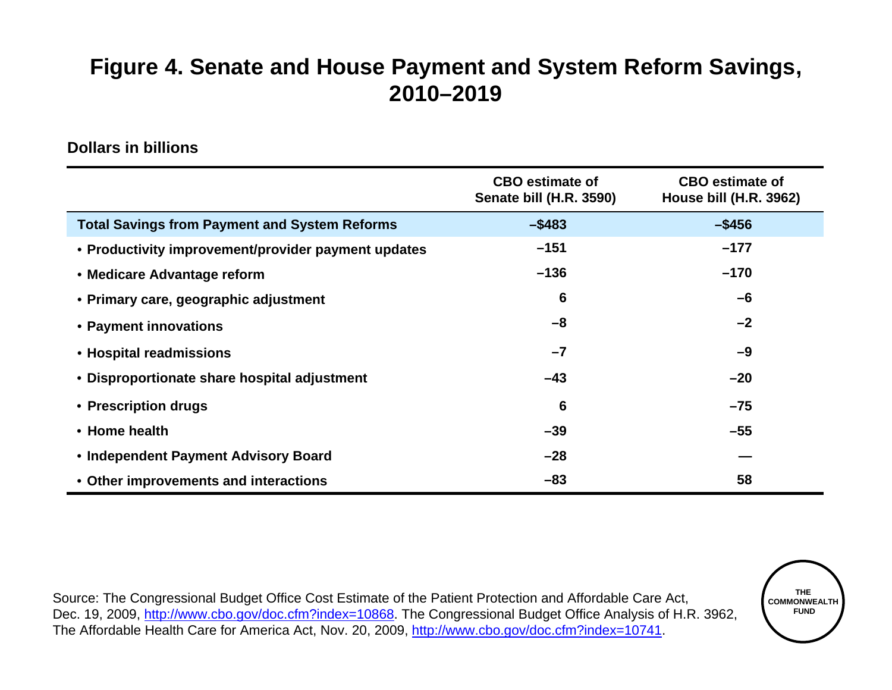## **Figure 4. Senate and House Payment and System Reform Savings, 2010–2019**

#### **Dollars in billions**

|                                                      | <b>CBO</b> estimate of<br>Senate bill (H.R. 3590) | <b>CBO</b> estimate of<br><b>House bill (H.R. 3962)</b> |
|------------------------------------------------------|---------------------------------------------------|---------------------------------------------------------|
| <b>Total Savings from Payment and System Reforms</b> | $-$ \$483                                         | $-$ \$456                                               |
| • Productivity improvement/provider payment updates  | $-151$                                            | $-177$                                                  |
| • Medicare Advantage reform                          | $-136$                                            | $-170$                                                  |
| • Primary care, geographic adjustment                | 6                                                 | $-6$                                                    |
| • Payment innovations                                | $-8$                                              | $-2$                                                    |
| • Hospital readmissions                              | $-7$                                              | $-9$                                                    |
| • Disproportionate share hospital adjustment         | $-43$                                             | $-20$                                                   |
| • Prescription drugs                                 | 6                                                 | $-75$                                                   |
| • Home health                                        | $-39$                                             | $-55$                                                   |
| • Independent Payment Advisory Board                 | $-28$                                             |                                                         |
| • Other improvements and interactions                | $-83$                                             | 58                                                      |

Source: The Congressional Budget Office Cost Estimate of the Patient Protection and Affordable Care Act, Dec. 19, 2009, http://www.cbo.gov/doc.cfm?index=10868. The Congressional Budget Office Analysis of H.R. 3962, The Affordable Health Care for America Act, Nov. 20, 2009, http://www.cbo.gov/doc.cfm?index=10741.

**THE COMMONWEALTHFUND**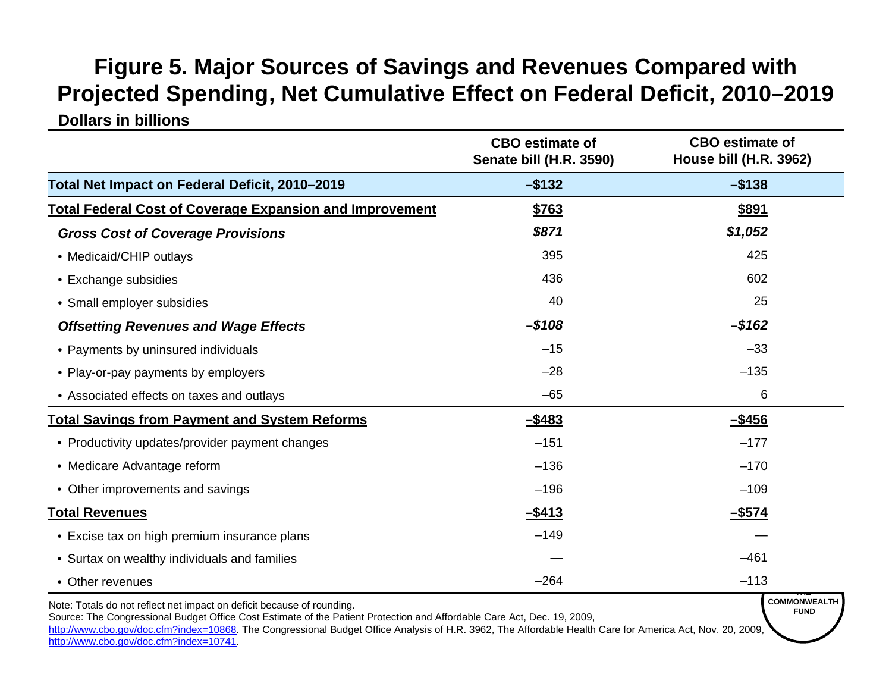# **Figure 5. Major Sources of Savings and Revenues Compared with Projected Spending, Net Cumulative Effect on Federal Deficit, 2010–2019**

#### **Dollars in billions**

|                                                                                     | <b>CBO</b> estimate of<br>Senate bill (H.R. 3590) | <b>CBO</b> estimate of<br>House bill (H.R. 3962) |
|-------------------------------------------------------------------------------------|---------------------------------------------------|--------------------------------------------------|
| Total Net Impact on Federal Deficit, 2010-2019                                      | $-$ \$132                                         | $-$ \$138                                        |
| <b>Total Federal Cost of Coverage Expansion and Improvement</b>                     | \$763                                             | <u>\$891</u>                                     |
| <b>Gross Cost of Coverage Provisions</b>                                            | \$871                                             | \$1,052                                          |
| • Medicaid/CHIP outlays                                                             | 395                                               | 425                                              |
| • Exchange subsidies                                                                | 436                                               | 602                                              |
| • Small employer subsidies                                                          | 40                                                | 25                                               |
| <b>Offsetting Revenues and Wage Effects</b>                                         | $-$ \$108                                         | $-$ \$162                                        |
| • Payments by uninsured individuals                                                 | $-15$                                             | $-33$                                            |
| • Play-or-pay payments by employers                                                 | $-28$                                             | $-135$                                           |
| • Associated effects on taxes and outlays                                           | $-65$                                             | 6                                                |
| <b>Total Savings from Payment and System Reforms</b>                                | $-$ \$483                                         | $-$ \$456                                        |
| • Productivity updates/provider payment changes                                     | $-151$                                            | $-177$                                           |
| • Medicare Advantage reform                                                         | $-136$                                            | $-170$                                           |
| • Other improvements and savings                                                    | $-196$                                            | $-109$                                           |
| <b>Total Revenues</b>                                                               | $-$ \$413                                         | <u>-\$574</u>                                    |
| • Excise tax on high premium insurance plans                                        | $-149$                                            |                                                  |
| • Surtax on wealthy individuals and families                                        |                                                   | $-461$                                           |
| • Other revenues                                                                    | $-264$                                            | $-113$                                           |
| وبالموريصة المستحدد والمناقص والمستحدث والمحافظ والمعالمة والمستحلف والملحى والملحي |                                                   | <b>COMMONWEALTH</b>                              |

Note: Totals do not reflect net impact on deficit because of rounding.

Source: The Congressional Budget Office Cost Estimate of the Patient Protection and Affordable Care Act, Dec. 19, 2009,

http://www.cbo.gov/doc.cfm?index=10868. The Congressional Budget Office Analysis of H.R. 3962, The Affordable Health Care for America Act, Nov. 20, 2009, http://www.cbo.gov/doc.cfm?index=10741.

**FUND**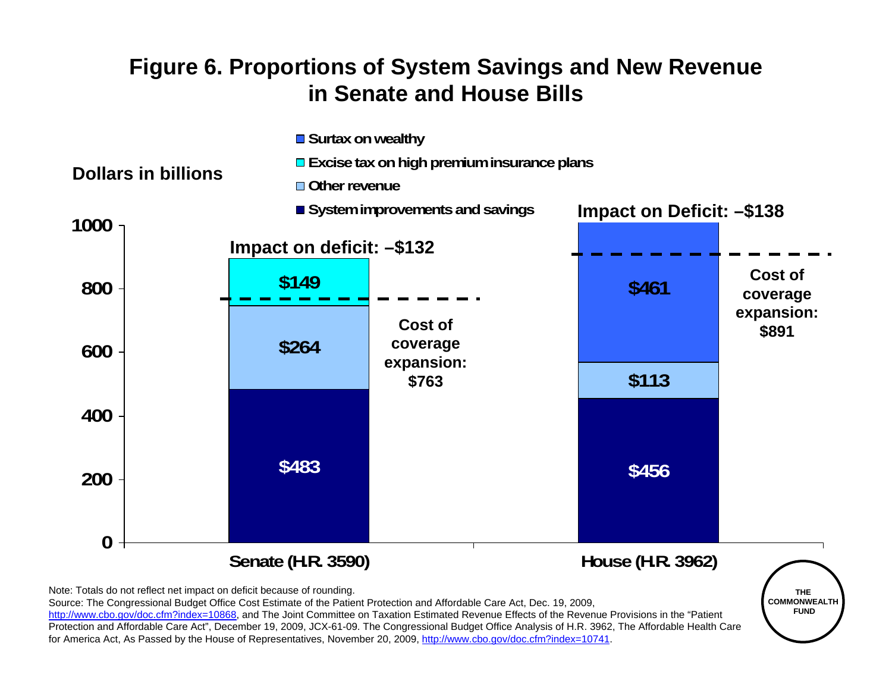### **Figure 6. Proportions of System Savings and New Revenue in Senate and House Bills**



#### **Senate (H.R. 3590) House (H.R. 3962)**



Note: Totals do not reflect net impact on deficit because of rounding.

Source: The Congressional Budget Office Cost Estimate of the Patient Protection and Affordable Care Act, Dec. 19, 2009,

http://www.cbo.gov/doc.cfm?index=10868, and The Joint Committee on Taxation Estimated Revenue Effects of the Revenue Provisions in the "Patient Protection and Affordable Care Act", December 19, 2009, JCX-61-09. The Congressional Budget Office Analysis of H.R. 3962, The Affordable Health Care for America Act, As Passed by the House of Representatives, November 20, 2009, http://www.cbo.gov/doc.cfm?index=10741.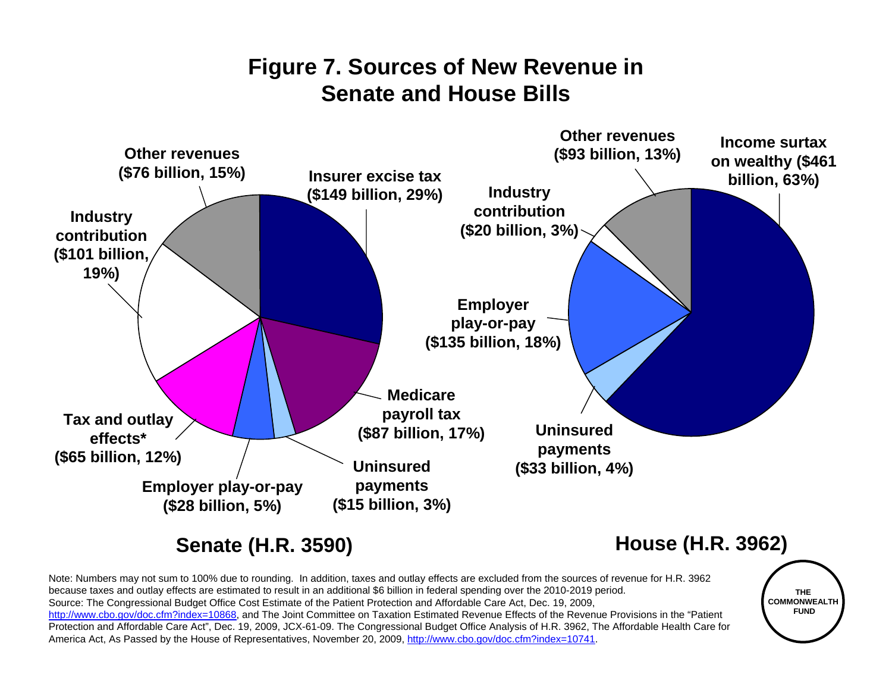### **Figure 7. Sources of New Revenue in Senate and House Bills**



Note: Numbers may not sum to 100% due to rounding. In addition, taxes and outlay effects are excluded from the sources of revenue for H.R. 3962 because taxes and outlay effects are estimated to result in an additional \$6 billion in federal spending over the 2010-2019 period. Source: The Congressional Budget Office Cost Estimate of the Patient Protection and Affordable Care Act, Dec. 19, 2009, http://www.cbo.gov/doc.cfm?index=10868, and The Joint Committee on Taxation Estimated Revenue Effects of the Revenue Provisions in the "Patient Protection and Affordable Care Act", Dec. 19, 2009, JCX-61-09. The Congressional Budget Office Analysis of H.R. 3962, The Affordable Health Care for America Act, As Passed by the House of Representatives, November 20, 2009, http://www.cbo.gov/doc.cfm?index=10741.

**THE COMMONWEALTHFUND**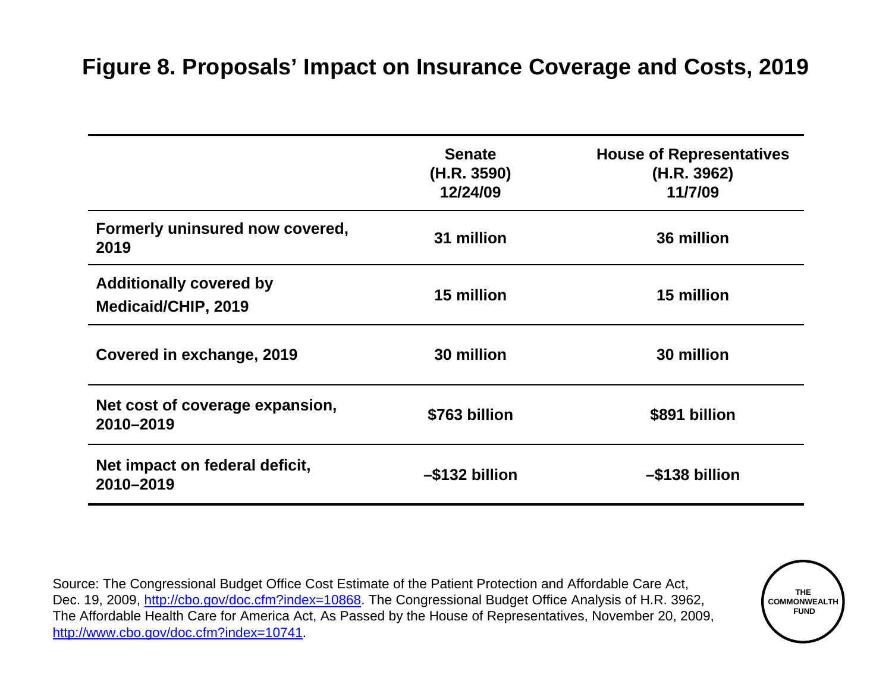### **Figure 8. Proposals' Impact on Insurance Coverage and Costs, 2019**

|                                                       | <b>Senate</b><br>(H.R. 3590)<br>12/24/09 | <b>House of Representatives</b><br>(H.R. 3962)<br>11/7/09 |
|-------------------------------------------------------|------------------------------------------|-----------------------------------------------------------|
| Formerly uninsured now covered,<br>2019               | 31 million                               | 36 million                                                |
| <b>Additionally covered by</b><br>Medicaid/CHIP, 2019 | 15 million                               | 15 million                                                |
| Covered in exchange, 2019                             | 30 million                               | 30 million                                                |
| Net cost of coverage expansion,<br>2010-2019          | \$763 billion                            | \$891 billion                                             |
| Net impact on federal deficit,<br>2010-2019           | -\$132 billion                           | –\$138 billion                                            |

Source: The Congressional Budget Office Cost Estimate of the Patient Protection and Affordable Care Act, Dec. 19, 2009, http://cbo.gov/doc.cfm?index=10868. The Congressional Budget Office Analysis of H.R. 3962, The Affordable Health Care for America Act, As Passed by the House of Representatives, November 20, 2009, http://www.cbo.gov/doc.cfm?index=10741.

**THE COMMONWEALTHFUND**